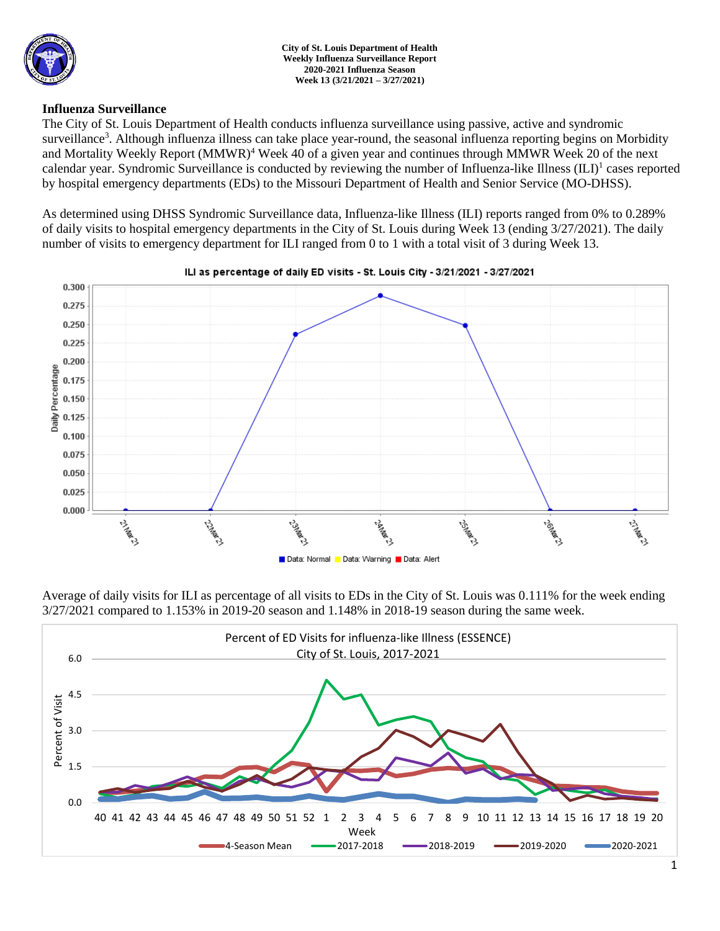

### **Influenza Surveillance**

The City of St. Louis Department of Health conducts influenza surveillance using passive, active and syndromic surveillance<sup>3</sup>. Although influenza illness can take place year-round, the seasonal influenza reporting begins on Morbidity and Mortality Weekly Report (MMWR)<sup>4</sup> Week 40 of a given year and continues through MMWR Week 20 of the next calendar year. Syndromic Surveillance is conducted by reviewing the number of Influenza-like Illness (ILI)<sup>1</sup> cases reported by hospital emergency departments (EDs) to the Missouri Department of Health and Senior Service (MO-DHSS).

As determined using DHSS Syndromic Surveillance data, Influenza-like Illness (ILI) reports ranged from 0% to 0.289% of daily visits to hospital emergency departments in the City of St. Louis during Week 13 (ending 3/27/2021). The daily number of visits to emergency department for ILI ranged from 0 to 1 with a total visit of 3 during Week 13.



Average of daily visits for ILI as percentage of all visits to EDs in the City of St. Louis was 0.111% for the week ending 3/27/2021 compared to 1.153% in 2019-20 season and 1.148% in 2018-19 season during the same week.

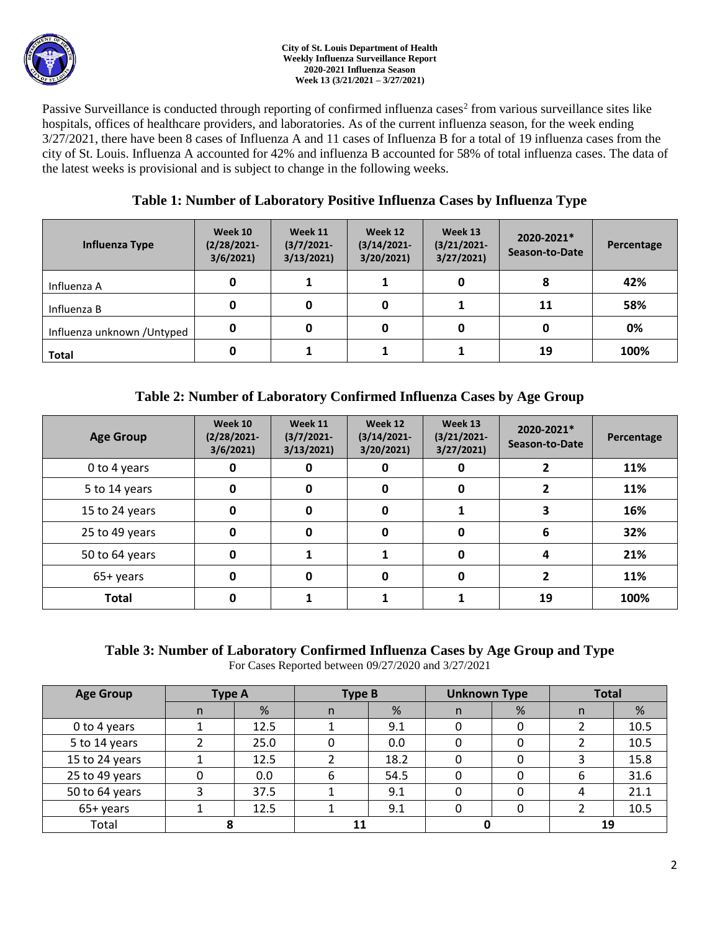

Passive Surveillance is conducted through reporting of confirmed influenza cases<sup>2</sup> from various surveillance sites like hospitals, offices of healthcare providers, and laboratories. As of the current influenza season, for the week ending 3/27/2021, there have been 8 cases of Influenza A and 11 cases of Influenza B for a total of 19 influenza cases from the city of St. Louis. Influenza A accounted for 42% and influenza B accounted for 58% of total influenza cases. The data of the latest weeks is provisional and is subject to change in the following weeks.

## **Table 1: Number of Laboratory Positive Influenza Cases by Influenza Type**

| Influenza Type              | Week 10<br>$(2/28/2021 -$<br>3/6/2021 | Week 11<br>$(3/7/2021 -$<br>3/13/2021 | Week 12<br>$(3/14/2021 -$<br>3/20/2021 | Week 13<br>$(3/21/2021 -$<br>3/27/2021 | 2020-2021*<br>Season-to-Date | Percentage |  |
|-----------------------------|---------------------------------------|---------------------------------------|----------------------------------------|----------------------------------------|------------------------------|------------|--|
| Influenza A                 | 0                                     |                                       |                                        |                                        | 8                            | 42%        |  |
| Influenza B                 | 0                                     | 0                                     | 0                                      |                                        | 11                           | 58%        |  |
| Influenza unknown / Untyped | 0                                     | 0                                     | 0                                      |                                        | 0                            | 0%         |  |
| <b>Total</b>                | 0                                     |                                       |                                        |                                        | 19                           | 100%       |  |

# **Table 2: Number of Laboratory Confirmed Influenza Cases by Age Group**

| <b>Age Group</b> | Week 10<br>$(2/28/2021 -$<br>3/6/2021 | Week 11<br>$(3/7/2021 -$<br>3/13/2021 | Week 12<br>$(3/14/2021 -$<br>3/20/2021 | Week 13<br>$(3/21/2021 -$<br>3/27/2021 | 2020-2021*<br>Season-to-Date | Percentage |
|------------------|---------------------------------------|---------------------------------------|----------------------------------------|----------------------------------------|------------------------------|------------|
| 0 to 4 years     | 0                                     |                                       | 0                                      |                                        |                              | 11%        |
| 5 to 14 years    | 0                                     | 0                                     | 0                                      | 0                                      |                              | 11%        |
| 15 to 24 years   | 0                                     | 0                                     | 0                                      |                                        |                              | 16%        |
| 25 to 49 years   | 0                                     | $\bf{0}$                              | 0                                      | 0                                      | 6                            | 32%        |
| 50 to 64 years   | 0                                     |                                       |                                        | 0                                      | 4                            | 21%        |
| 65+ years        | 0                                     | O                                     | 0                                      | O                                      |                              | 11%        |
| <b>Total</b>     | 0                                     |                                       |                                        |                                        | 19                           | 100%       |

### **Table 3: Number of Laboratory Confirmed Influenza Cases by Age Group and Type** For Cases Reported between 09/27/2020 and 3/27/2021

| <b>Age Group</b> | <b>Type A</b> |      | <b>Type B</b> |      | <b>Unknown Type</b> |   | <b>Total</b> |      |
|------------------|---------------|------|---------------|------|---------------------|---|--------------|------|
|                  | n.            | %    | n             | %    | n                   | % | n            | %    |
| 0 to 4 years     |               | 12.5 |               | 9.1  | 0                   |   |              | 10.5 |
| 5 to 14 years    |               | 25.0 |               | 0.0  | 0                   |   |              | 10.5 |
| 15 to 24 years   |               | 12.5 |               | 18.2 |                     |   |              | 15.8 |
| 25 to 49 years   |               | 0.0  | 6             | 54.5 | 0                   |   | 6            | 31.6 |
| 50 to 64 years   |               | 37.5 |               | 9.1  | 0                   |   |              | 21.1 |
| 65+ years        |               | 12.5 |               | 9.1  | 0                   |   |              | 10.5 |
| Total            |               |      |               |      |                     |   | 19           |      |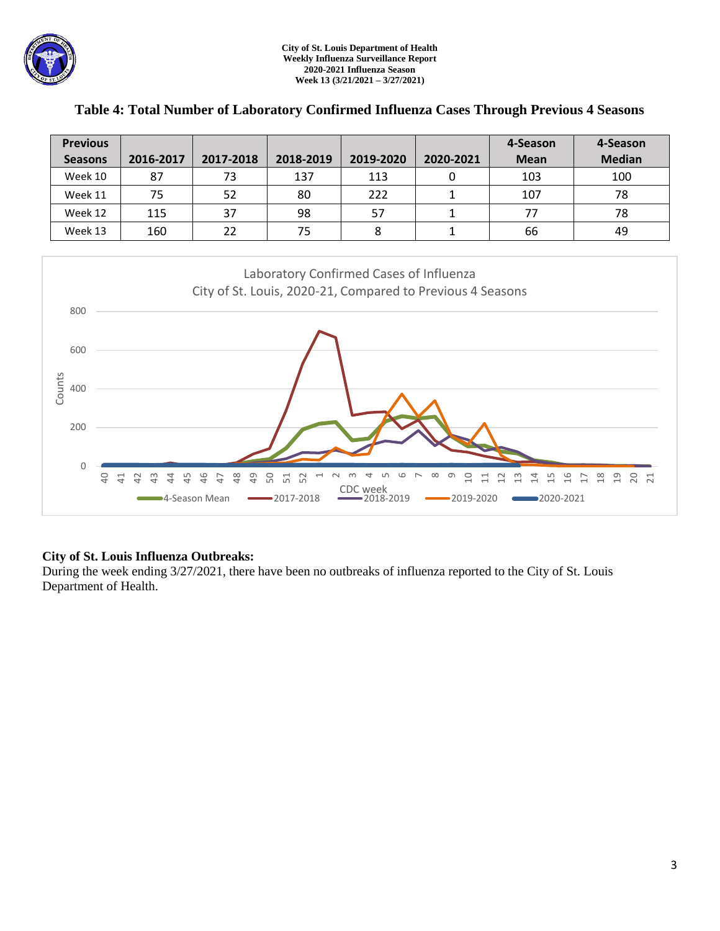| <b>Previous</b> |           |           |           |           |           | 4-Season    | 4-Season      |
|-----------------|-----------|-----------|-----------|-----------|-----------|-------------|---------------|
| <b>Seasons</b>  | 2016-2017 | 2017-2018 | 2018-2019 | 2019-2020 | 2020-2021 | <b>Mean</b> | <b>Median</b> |
| Week 10         | 87        | 73        | 137       | 113       |           | 103         | 100           |
| Week 11         | 75        | 52        | 80        | 222       |           | 107         | 78            |
| Week 12         | 115       | 37        | 98        | 57        |           | 77          | 78            |
| Week 13         | 160       | 22        | 75        |           |           | 66          | 49            |

# **Table 4: Total Number of Laboratory Confirmed Influenza Cases Through Previous 4 Seasons**



# **City of St. Louis Influenza Outbreaks:**

During the week ending 3/27/2021, there have been no outbreaks of influenza reported to the City of St. Louis Department of Health.